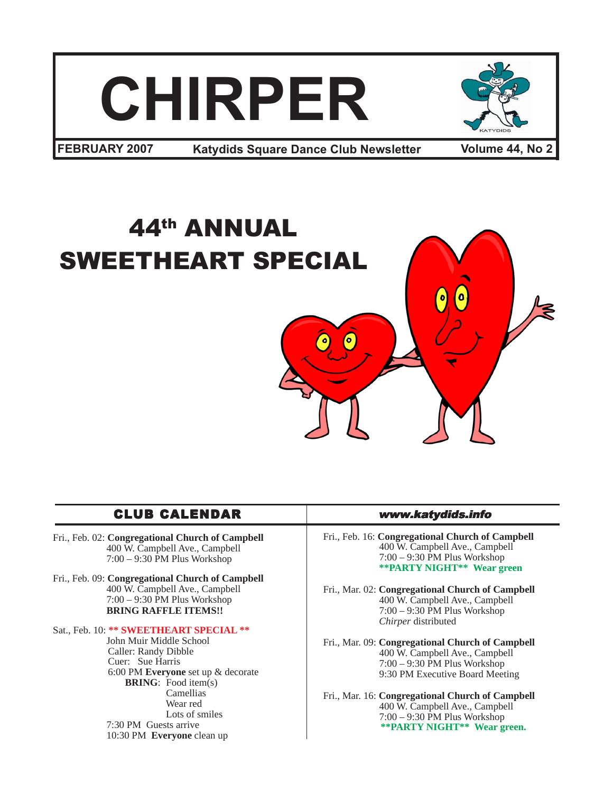



**FEBRUARY 2007 •• Katydids Square Dance Club Newsletter • Volume 44, No 2** 

# 44th ANNUAL SWEETHEART SPECIAL

# CLUB CALENDAR www.katydids.info

- Fri., Feb. 02: **Congregational Church of Campbell** 400 W. Campbell Ave., Campbell 7:00 – 9:30 PM Plus Workshop
- Fri., Feb. 09: **Congregational Church of Campbell** 400 W. Campbell Ave., Campbell 7:00 – 9:30 PM Plus Workshop **BRING RAFFLE ITEMS!!**

#### Sat., Feb. 10: **\*\* SWEETHEART SPECIAL \*\***

 John Muir Middle School Caller: Randy Dibble Cuer: Sue Harris 6:00 PM **Everyone** set up & decorate **BRING**: Food item(s) Camellias Wear red Lots of smiles 7:30 PM Guests arrive 10:30 PM **Everyone** clean up

Fri., Feb. 16: **Congregational Church of Campbell** 400 W. Campbell Ave., Campbell 7:00 – 9:30 PM Plus Workshop **\*\*PARTY NIGHT\*\* Wear green**

Fri., Mar. 02: **Congregational Church of Campbell** 400 W. Campbell Ave., Campbell 7:00 – 9:30 PM Plus Workshop *Chirper* distributed

Fri., Mar. 09: **Congregational Church of Campbell** 400 W. Campbell Ave., Campbell 7:00 – 9:30 PM Plus Workshop 9:30 PM Executive Board Meeting

Fri., Mar. 16: **Congregational Church of Campbell** 400 W. Campbell Ave., Campbell 7:00 – 9:30 PM Plus Workshop **\*\*PARTY NIGHT\*\* Wear green.**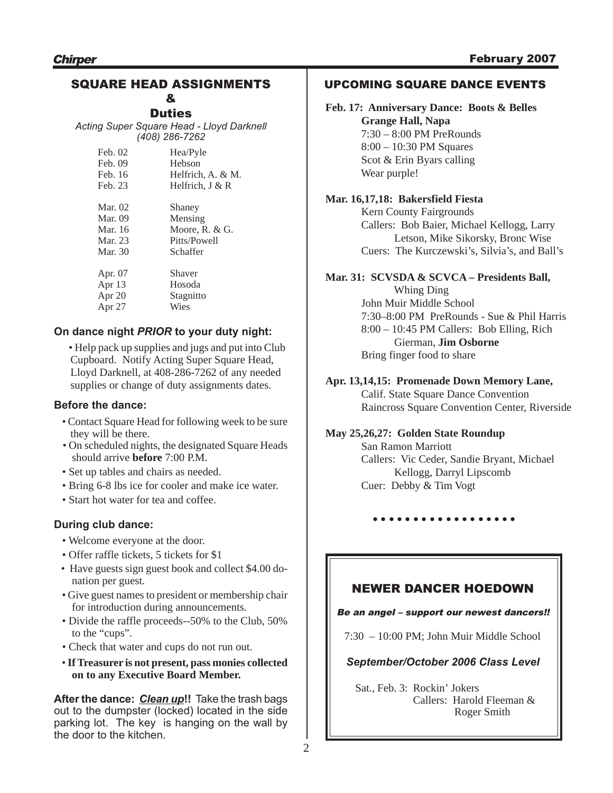# SQUARE HEAD ASSIGNMENTS &

**Duties** 

*Acting Super Square Head - Lloyd Darknell (408) 286-7262*

| Feb. 02<br>Feb. 09<br>Feb. 16<br>Feb. 23 | Hea/Pyle<br>Hebson<br>Helfrich, A. & M.<br>Helfrich, $J & R$ |  |
|------------------------------------------|--------------------------------------------------------------|--|
| Mar. 02                                  | Shaney                                                       |  |
| <b>Mar.</b> 09                           | Mensing                                                      |  |
| Mar. 16                                  | Moore, R. $& G.$                                             |  |
| Mar. 23                                  | Pitts/Powell                                                 |  |
| Mar. 30                                  | Schaffer                                                     |  |
| Apr. 07                                  | Shaver                                                       |  |
| Apr 13                                   | Hosoda                                                       |  |
| Apr $20$                                 | Stagnitto                                                    |  |
| Apr 27                                   | Wies                                                         |  |

# **On dance night** *PRIOR* **to your duty night:**

• Help pack up supplies and jugs and put into Club Cupboard. Notify Acting Super Square Head, Lloyd Darknell, at 408-286-7262 of any needed supplies or change of duty assignments dates.

#### **Before the dance:**

- Contact Square Head for following week to be sure they will be there.
- On scheduled nights, the designated Square Heads should arrive **before** 7:00 P.M.
- Set up tables and chairs as needed.
- Bring 6-8 lbs ice for cooler and make ice water.
- Start hot water for tea and coffee.

# **During club dance:**

- Welcome everyone at the door.
- Offer raffle tickets, 5 tickets for \$1
- Have guests sign guest book and collect \$4.00 donation per guest.
- Give guest names to president or membership chair for introduction during announcements.
- Divide the raffle proceeds--50% to the Club, 50% to the "cups".
- Check that water and cups do not run out.
- **If Treasurer is not present, pass monies collected on to any Executive Board Member.**

**After the dance:** *Clean up***!!** Take the trash bags out to the dumpster (locked) located in the side parking lot. The key is hanging on the wall by the door to the kitchen.

# UPCOMING SQUARE DANCE EVENTS

**Feb. 17: Anniversary Dance: Boots & Belles Grange Hall, Napa** 7:30 – 8:00 PM PreRounds 8:00 – 10:30 PM Squares Scot & Erin Byars calling Wear purple!

# **Mar. 16,17,18: Bakersfield Fiesta**

Kern County Fairgrounds Callers: Bob Baier, Michael Kellogg, Larry Letson, Mike Sikorsky, Bronc Wise Cuers: The Kurczewski's, Silvia's, and Ball's

## **Mar. 31: SCVSDA & SCVCA – Presidents Ball,**

 Whing Ding John Muir Middle School 7:30–8:00 PM PreRounds - Sue & Phil Harris 8:00 – 10:45 PM Callers: Bob Elling, Rich Gierman, **Jim Osborne** Bring finger food to share

## **Apr. 13,14,15: Promenade Down Memory Lane,**

 Calif. State Square Dance Convention Raincross Square Convention Center, Riverside

#### **May 25,26,27: Golden State Roundup**

 San Ramon Marriott Callers: Vic Ceder, Sandie Bryant, Michael Kellogg, Darryl Lipscomb Cuer: Debby & Tim Vogt

○○○○○○○○○ ○○○○○○○○○

# NEWER DANCER HOEDOWN

#### Be an angel – support our newest dancers!!

7:30 – 10:00 PM; John Muir Middle School

#### *September/October 2006 Class Level*

Sat., Feb. 3: Rockin' Jokers Callers: Harold Fleeman & Roger Smith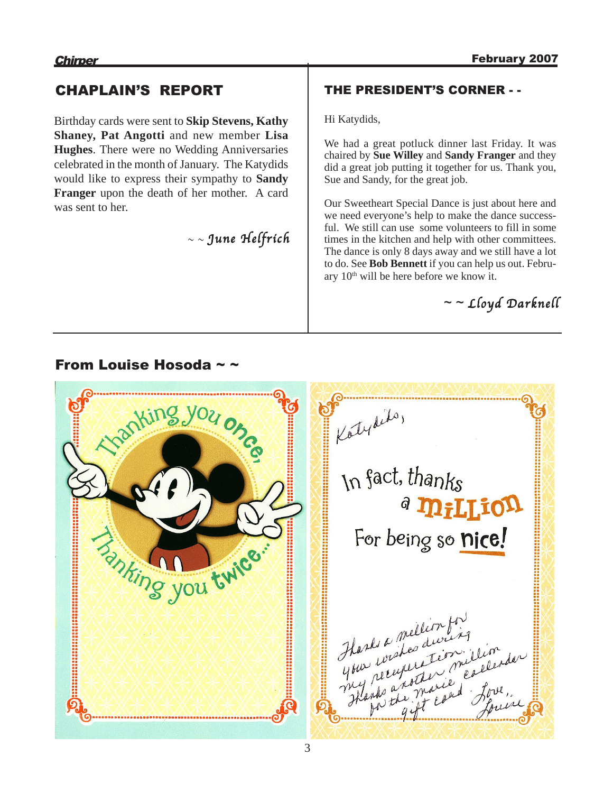# CHAPLAIN'S REPORT

Birthday cards were sent to **Skip Stevens, Kathy Shaney, Pat Angotti** and new member **Lisa Hughes**. There were no Wedding Anniversaries celebrated in the month of January. The Katydids would like to express their sympathy to **Sandy Franger** upon the death of her mother. A card was sent to her.

# $\sim$  June Helfrich

# THE PRESIDENT'S CORNER - -

Hi Katydids,

We had a great potluck dinner last Friday. It was chaired by **Sue Willey** and **Sandy Franger** and they did a great job putting it together for us. Thank you, Sue and Sandy, for the great job.

Our Sweetheart Special Dance is just about here and we need everyone's help to make the dance successful. We still can use some volunteers to fill in some times in the kitchen and help with other committees. The dance is only 8 days away and we still have a lot to do. See **Bob Bennett** if you can help us out. February  $10<sup>th</sup>$  will be here before we know it.

 $\sim$  - Lloyd Darknell

# From Louise Hosoda  $\sim$   $\sim$

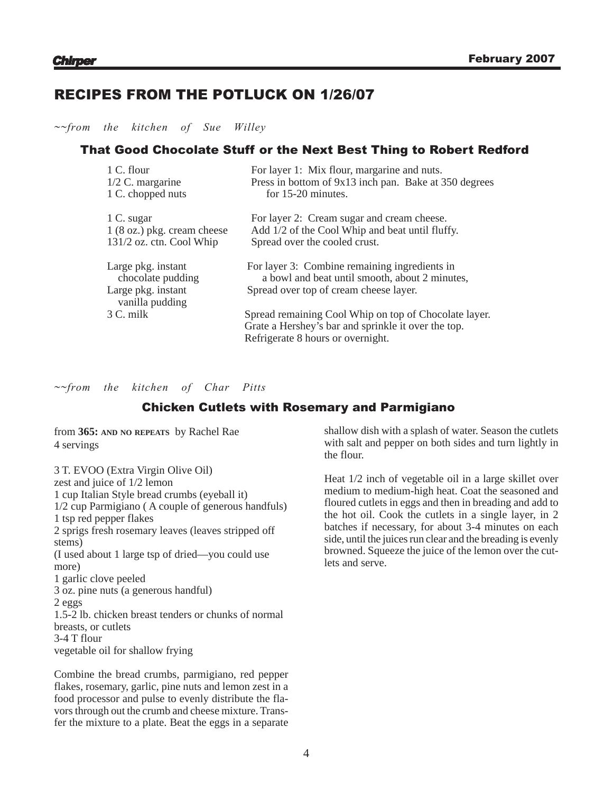# RECIPES FROM THE POTLUCK ON 1/26/07

*~~from the kitchen of Sue Willey*

# That Good Chocolate Stuff or the Next Best Thing to Robert Redford

| 1 C. flour                              | For layer 1: Mix flour, margarine and nuts.                                                     |
|-----------------------------------------|-------------------------------------------------------------------------------------------------|
| $1/2$ C. margarine                      | Press in bottom of 9x13 inch pan. Bake at 350 degrees                                           |
| 1 C. chopped nuts                       | for 15-20 minutes.                                                                              |
| 1 C. sugar                              | For layer 2: Cream sugar and cream cheese.                                                      |
| $1(8 \text{ oz.})$ pkg. cream cheese    | Add 1/2 of the Cool Whip and beat until fluffy.                                                 |
| $131/2$ oz. ctn. Cool Whip              | Spread over the cooled crust.                                                                   |
| Large pkg. instant<br>chocolate pudding | For layer 3: Combine remaining ingredients in<br>a bowl and beat until smooth, about 2 minutes, |
| Large pkg. instant                      | Spread over top of cream cheese layer.                                                          |
| vanilla pudding                         |                                                                                                 |
| 3 C. milk                               | Spread remaining Cool Whip on top of Chocolate layer.                                           |
|                                         | Grate a Hershey's bar and sprinkle it over the top.                                             |
|                                         | Refrigerate 8 hours or overnight.                                                               |
|                                         |                                                                                                 |

*~~from the kitchen of Char Pitts*

# Chicken Cutlets with Rosemary and Parmigiano

from **365: AND NO REPEATS** by Rachel Rae 4 servings

3 T. EVOO (Extra Virgin Olive Oil) zest and juice of 1/2 lemon 1 cup Italian Style bread crumbs (eyeball it) 1/2 cup Parmigiano ( A couple of generous handfuls) 1 tsp red pepper flakes 2 sprigs fresh rosemary leaves (leaves stripped off stems) (I used about 1 large tsp of dried—you could use more) 1 garlic clove peeled 3 oz. pine nuts (a generous handful) 2 eggs 1.5-2 lb. chicken breast tenders or chunks of normal breasts, or cutlets 3-4 T flour vegetable oil for shallow frying

Combine the bread crumbs, parmigiano, red pepper flakes, rosemary, garlic, pine nuts and lemon zest in a food processor and pulse to evenly distribute the flavors through out the crumb and cheese mixture. Transfer the mixture to a plate. Beat the eggs in a separate shallow dish with a splash of water. Season the cutlets with salt and pepper on both sides and turn lightly in the flour.

Heat 1/2 inch of vegetable oil in a large skillet over medium to medium-high heat. Coat the seasoned and floured cutlets in eggs and then in breading and add to the hot oil. Cook the cutlets in a single layer, in 2 batches if necessary, for about 3-4 minutes on each side, until the juices run clear and the breading is evenly browned. Squeeze the juice of the lemon over the cutlets and serve.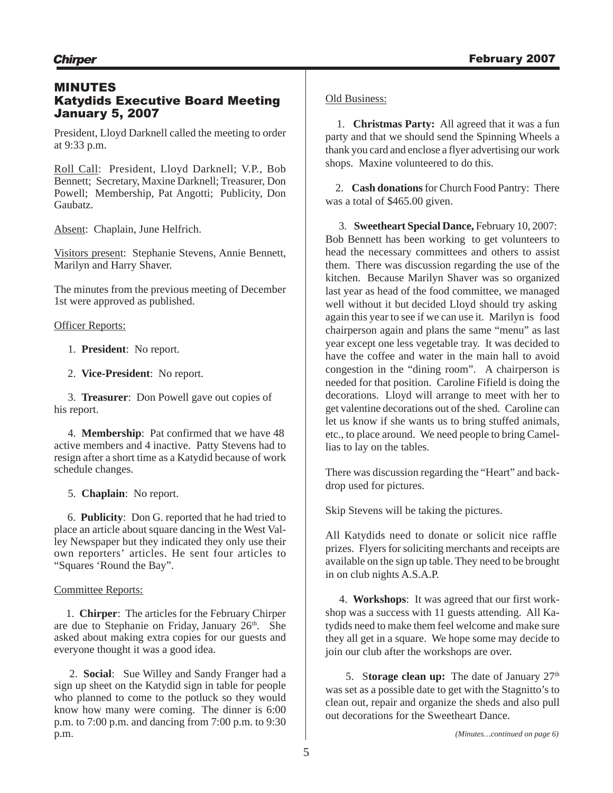# MINUTES Katydids Executive Board Meeting January 5, 2007

President, Lloyd Darknell called the meeting to order at 9:33 p.m.

Roll Call: President, Lloyd Darknell; V.P., Bob Bennett; Secretary, Maxine Darknell; Treasurer, Don Powell; Membership, Pat Angotti; Publicity, Don Gaubatz.

Absent: Chaplain, June Helfrich.

Visitors present: Stephanie Stevens, Annie Bennett, Marilyn and Harry Shaver.

The minutes from the previous meeting of December 1st were approved as published.

# **Officer Reports:**

- 1. **President**: No report.
- 2. **Vice-President**: No report.

 3. **Treasurer**: Don Powell gave out copies of his report.

 4. **Membership**: Pat confirmed that we have 48 active members and 4 inactive. Patty Stevens had to resign after a short time as a Katydid because of work schedule changes.

5. **Chaplain**: No report.

6. **Publicity**: Don G. reported that he had tried to place an article about square dancing in the West Valley Newspaper but they indicated they only use their own reporters' articles. He sent four articles to "Squares 'Round the Bay".

# Committee Reports:

 1. **Chirper**: The articles for the February Chirper are due to Stephanie on Friday, January  $26<sup>th</sup>$ . She asked about making extra copies for our guests and everyone thought it was a good idea.

 2. **Social**: Sue Willey and Sandy Franger had a sign up sheet on the Katydid sign in table for people who planned to come to the potluck so they would know how many were coming. The dinner is 6:00 p.m. to 7:00 p.m. and dancing from 7:00 p.m. to 9:30 p.m.

## Old Business:

 1. **Christmas Party:** All agreed that it was a fun party and that we should send the Spinning Wheels a thank you card and enclose a flyer advertising our work shops. Maxine volunteered to do this.

 2. **Cash donations**for Church Food Pantry: There was a total of \$465.00 given.

3. **Sweetheart Special Dance,** February 10, 2007: Bob Bennett has been working to get volunteers to head the necessary committees and others to assist them. There was discussion regarding the use of the kitchen. Because Marilyn Shaver was so organized last year as head of the food committee, we managed well without it but decided Lloyd should try asking again this year to see if we can use it. Marilyn is food chairperson again and plans the same "menu" as last year except one less vegetable tray. It was decided to have the coffee and water in the main hall to avoid congestion in the "dining room". A chairperson is needed for that position. Caroline Fifield is doing the decorations. Lloyd will arrange to meet with her to get valentine decorations out of the shed. Caroline can let us know if she wants us to bring stuffed animals, etc., to place around. We need people to bring Camellias to lay on the tables.

There was discussion regarding the "Heart" and backdrop used for pictures.

Skip Stevens will be taking the pictures.

All Katydids need to donate or solicit nice raffle prizes. Flyers for soliciting merchants and receipts are available on the sign up table. They need to be brought in on club nights A.S.A.P.

 4. **Workshops**: It was agreed that our first workshop was a success with 11 guests attending. All Katydids need to make them feel welcome and make sure they all get in a square. We hope some may decide to join our club after the workshops are over.

5. Storage clean up: The date of January 27<sup>th</sup> was set as a possible date to get with the Stagnitto's to clean out, repair and organize the sheds and also pull out decorations for the Sweetheart Dance.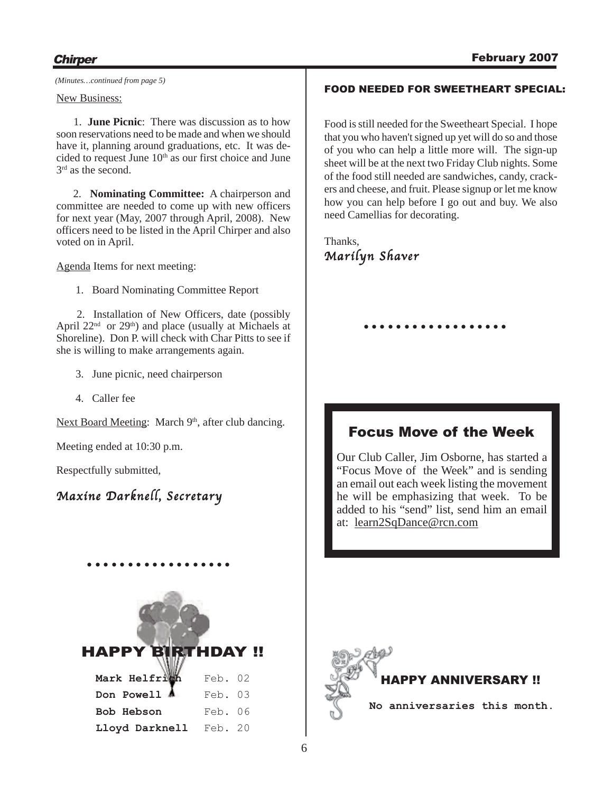*(Minutes…continued from page 5)*

#### New Business:

 1. **June Picnic**: There was discussion as to how soon reservations need to be made and when we should have it, planning around graduations, etc. It was decided to request June 10<sup>th</sup> as our first choice and June  $3<sup>rd</sup>$  as the second.

2. **Nominating Committee:** A chairperson and committee are needed to come up with new officers for next year (May, 2007 through April, 2008). New officers need to be listed in the April Chirper and also voted on in April.

Agenda Items for next meeting:

1. Board Nominating Committee Report

2. Installation of New Officers, date (possibly April  $22<sup>nd</sup>$  or  $29<sup>th</sup>$ ) and place (usually at Michaels at Shoreline). Don P. will check with Char Pitts to see if she is willing to make arrangements again.

- 3. June picnic, need chairperson
- 4. Caller fee

Next Board Meeting: March 9<sup>th</sup>, after club dancing.

Meeting ended at 10:30 p.m.

Respectfully submitted,

# Maxine Darknell, Secretary



○○○○○○○○○○ ○○○○○○○○

## FOOD NEEDED FOR SWEETHEART SPECIAL:

Food is still needed for the Sweetheart Special. I hope that you who haven't signed up yet will do so and those of you who can help a little more will. The sign-up sheet will be at the next two Friday Club nights. Some of the food still needed are sandwiches, candy, crackers and cheese, and fruit. Please signup or let me know how you can help before I go out and buy. We also need Camellias for decorating.

Thanks, Marilyn Shaver

# Focus Move of the Week

○○○○○○○○○ ○○○○○○○○○

Our Club Caller, Jim Osborne, has started a "Focus Move of the Week" and is sending an email out each week listing the movement he will be emphasizing that week. To be added to his "send" list, send him an email at: learn2SqDance@rcn.com

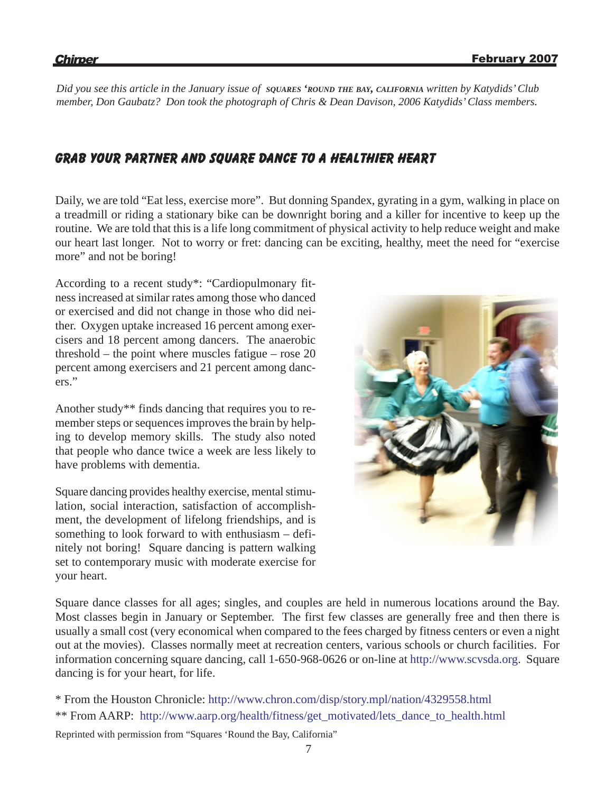*Did you see this article in the January issue of SQUARES 'ROUND THE BAY, CALIFORNIA written by Katydids' Club member, Don Gaubatz? Don took the photograph of Chris & Dean Davison, 2006 Katydids' Class members.*

# Grab your partner and square dance to a healthier heart

Daily, we are told "Eat less, exercise more". But donning Spandex, gyrating in a gym, walking in place on a treadmill or riding a stationary bike can be downright boring and a killer for incentive to keep up the routine. We are told that this is a life long commitment of physical activity to help reduce weight and make our heart last longer. Not to worry or fret: dancing can be exciting, healthy, meet the need for "exercise more" and not be boring!

According to a recent study\*: "Cardiopulmonary fitness increased at similar rates among those who danced or exercised and did not change in those who did neither. Oxygen uptake increased 16 percent among exercisers and 18 percent among dancers. The anaerobic threshold – the point where muscles fatigue – rose 20 percent among exercisers and 21 percent among dancers."

Another study\*\* finds dancing that requires you to remember steps or sequences improves the brain by helping to develop memory skills. The study also noted that people who dance twice a week are less likely to have problems with dementia.

Square dancing provides healthy exercise, mental stimulation, social interaction, satisfaction of accomplishment, the development of lifelong friendships, and is something to look forward to with enthusiasm – definitely not boring! Square dancing is pattern walking set to contemporary music with moderate exercise for your heart.



Square dance classes for all ages; singles, and couples are held in numerous locations around the Bay. Most classes begin in January or September. The first few classes are generally free and then there is usually a small cost (very economical when compared to the fees charged by fitness centers or even a night out at the movies). Classes normally meet at recreation centers, various schools or church facilities. For information concerning square dancing, call 1-650-968-0626 or on-line at http://www.scvsda.org. Square dancing is for your heart, for life.

- \* From the Houston Chronicle: http://www.chron.com/disp/story.mpl/nation/4329558.html
- \*\* From AARP: http://www.aarp.org/health/fitness/get\_motivated/lets\_dance\_to\_health.html

Reprinted with permission from "Squares 'Round the Bay, California"